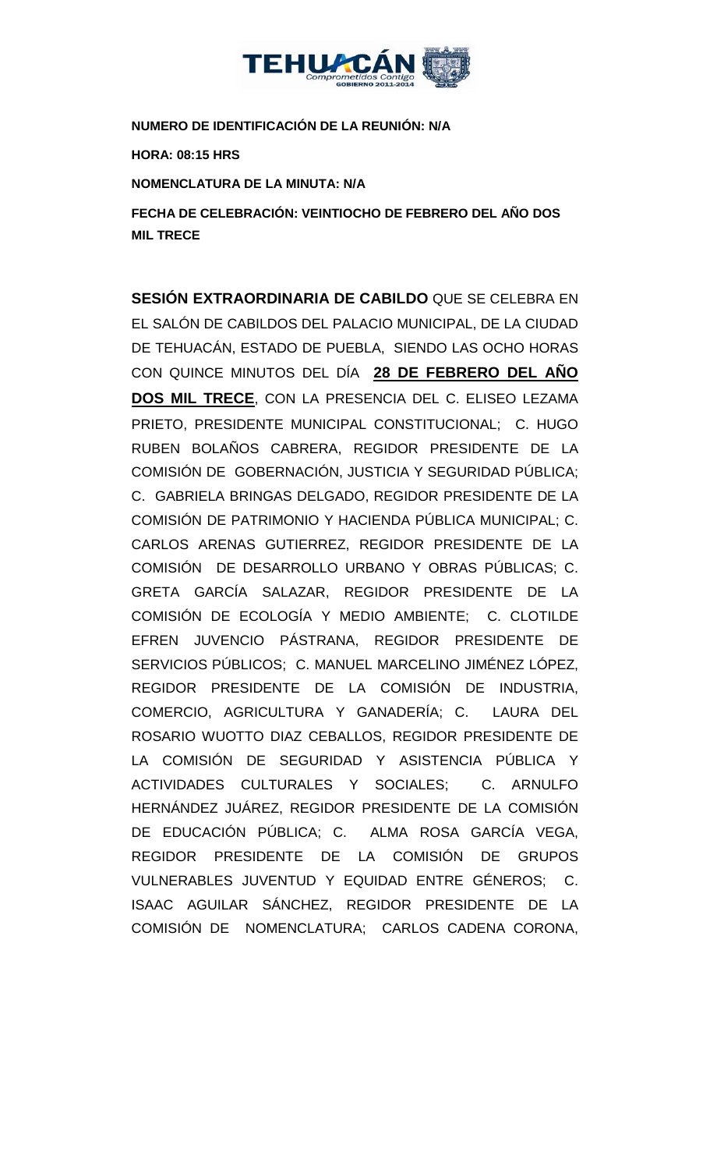

**NUMERO DE IDENTIFICACIÓN DE LA REUNIÓN: N/A**

**HORA: 08:15 HRS**

**NOMENCLATURA DE LA MINUTA: N/A**

**FECHA DE CELEBRACIÓN: VEINTIOCHO DE FEBRERO DEL AÑO DOS MIL TRECE** 

**SESIÓN EXTRAORDINARIA DE CABILDO** QUE SE CELEBRA EN EL SALÓN DE CABILDOS DEL PALACIO MUNICIPAL, DE LA CIUDAD DE TEHUACÁN, ESTADO DE PUEBLA, SIENDO LAS OCHO HORAS CON QUINCE MINUTOS DEL DÍA **28 DE FEBRERO DEL AÑO DOS MIL TRECE**, CON LA PRESENCIA DEL C. ELISEO LEZAMA PRIETO, PRESIDENTE MUNICIPAL CONSTITUCIONAL; C. HUGO RUBEN BOLAÑOS CABRERA, REGIDOR PRESIDENTE DE LA COMISIÓN DE GOBERNACIÓN, JUSTICIA Y SEGURIDAD PÚBLICA; C. GABRIELA BRINGAS DELGADO, REGIDOR PRESIDENTE DE LA COMISIÓN DE PATRIMONIO Y HACIENDA PÚBLICA MUNICIPAL; C. CARLOS ARENAS GUTIERREZ, REGIDOR PRESIDENTE DE LA COMISIÓN DE DESARROLLO URBANO Y OBRAS PÚBLICAS; C. GRETA GARCÍA SALAZAR, REGIDOR PRESIDENTE DE LA COMISIÓN DE ECOLOGÍA Y MEDIO AMBIENTE; C. CLOTILDE EFREN JUVENCIO PÁSTRANA, REGIDOR PRESIDENTE DE SERVICIOS PÚBLICOS; C. MANUEL MARCELINO JIMÉNEZ LÓPEZ, REGIDOR PRESIDENTE DE LA COMISIÓN DE INDUSTRIA, COMERCIO, AGRICULTURA Y GANADERÍA; C. LAURA DEL ROSARIO WUOTTO DIAZ CEBALLOS, REGIDOR PRESIDENTE DE LA COMISIÓN DE SEGURIDAD Y ASISTENCIA PÚBLICA Y ACTIVIDADES CULTURALES Y SOCIALES; C. ARNULFO HERNÁNDEZ JUÁREZ, REGIDOR PRESIDENTE DE LA COMISIÓN DE EDUCACIÓN PÚBLICA; C. ALMA ROSA GARCÍA VEGA, REGIDOR PRESIDENTE DE LA COMISIÓN DE GRUPOS VULNERABLES JUVENTUD Y EQUIDAD ENTRE GÉNEROS; C. ISAAC AGUILAR SÁNCHEZ, REGIDOR PRESIDENTE DE LA COMISIÓN DE NOMENCLATURA; CARLOS CADENA CORONA,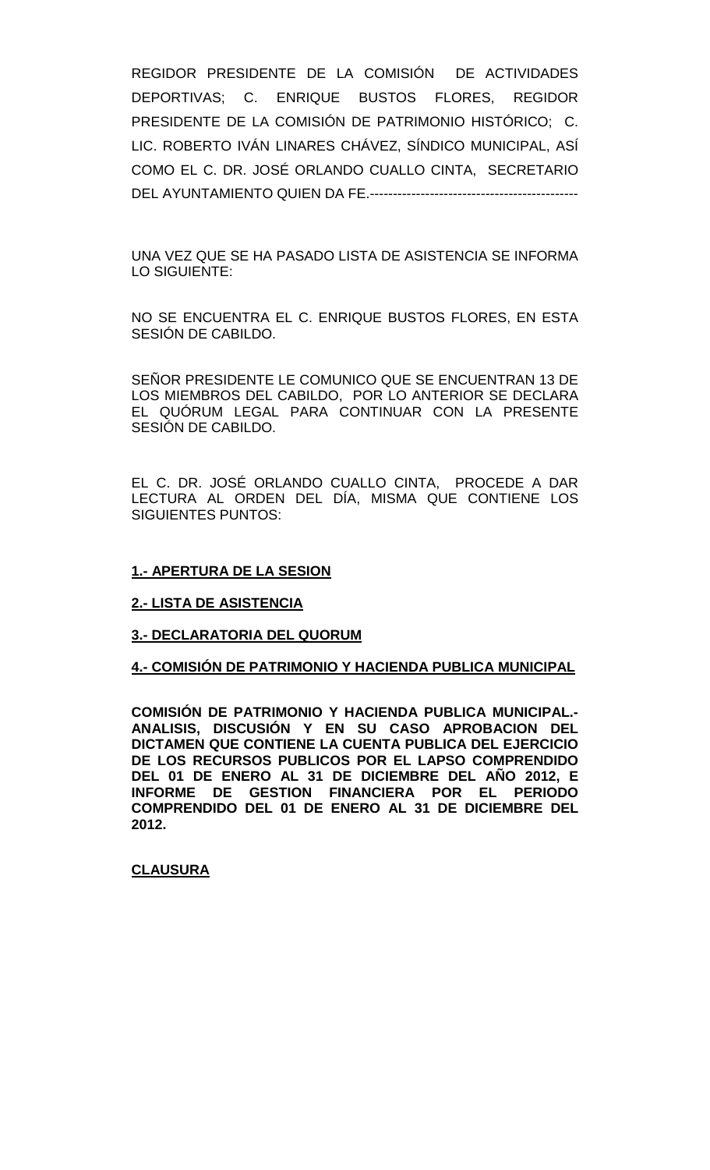REGIDOR PRESIDENTE DE LA COMISIÓN DE ACTIVIDADES DEPORTIVAS; C. ENRIQUE BUSTOS FLORES, REGIDOR PRESIDENTE DE LA COMISIÓN DE PATRIMONIO HISTÓRICO; C. LIC. ROBERTO IVÁN LINARES CHÁVEZ, SÍNDICO MUNICIPAL, ASÍ COMO EL C. DR. JOSÉ ORLANDO CUALLO CINTA, SECRETARIO DEL AYUNTAMIENTO QUIEN DA FE.---------------------------------------------

UNA VEZ QUE SE HA PASADO LISTA DE ASISTENCIA SE INFORMA LO SIGUIENTE:

NO SE ENCUENTRA EL C. ENRIQUE BUSTOS FLORES, EN ESTA SESIÓN DE CABILDO.

SEÑOR PRESIDENTE LE COMUNICO QUE SE ENCUENTRAN 13 DE LOS MIEMBROS DEL CABILDO, POR LO ANTERIOR SE DECLARA EL QUÓRUM LEGAL PARA CONTINUAR CON LA PRESENTE SESIÓN DE CABILDO.

EL C. DR. JOSÉ ORLANDO CUALLO CINTA, PROCEDE A DAR LECTURA AL ORDEN DEL DÍA, MISMA QUE CONTIENE LOS SIGUIENTES PUNTOS:

# **1.- APERTURA DE LA SESION**

# **2.- LISTA DE ASISTENCIA**

# **3.- DECLARATORIA DEL QUORUM**

# **4.- COMISIÓN DE PATRIMONIO Y HACIENDA PUBLICA MUNICIPAL**

**COMISIÓN DE PATRIMONIO Y HACIENDA PUBLICA MUNICIPAL.- ANALISIS, DISCUSIÓN Y EN SU CASO APROBACION DEL DICTAMEN QUE CONTIENE LA CUENTA PUBLICA DEL EJERCICIO DE LOS RECURSOS PUBLICOS POR EL LAPSO COMPRENDIDO DEL 01 DE ENERO AL 31 DE DICIEMBRE DEL AÑO 2012, E INFORME DE GESTION FINANCIERA POR EL PERIODO COMPRENDIDO DEL 01 DE ENERO AL 31 DE DICIEMBRE DEL 2012.**

#### **CLAUSURA**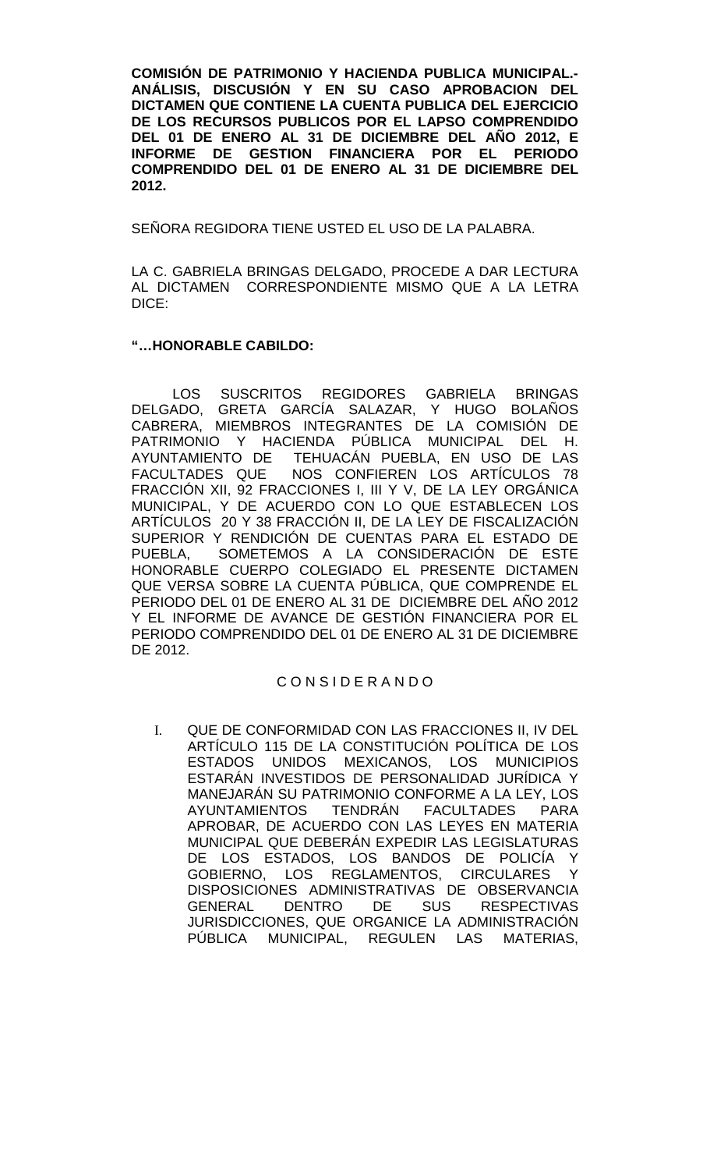**COMISIÓN DE PATRIMONIO Y HACIENDA PUBLICA MUNICIPAL.- ANÁLISIS, DISCUSIÓN Y EN SU CASO APROBACION DEL DICTAMEN QUE CONTIENE LA CUENTA PUBLICA DEL EJERCICIO DE LOS RECURSOS PUBLICOS POR EL LAPSO COMPRENDIDO DEL 01 DE ENERO AL 31 DE DICIEMBRE DEL AÑO 2012, E INFORME DE GESTION FINANCIERA POR EL PERIODO COMPRENDIDO DEL 01 DE ENERO AL 31 DE DICIEMBRE DEL 2012.**

SEÑORA REGIDORA TIENE USTED EL USO DE LA PALABRA.

LA C. GABRIELA BRINGAS DELGADO, PROCEDE A DAR LECTURA AL DICTAMEN CORRESPONDIENTE MISMO QUE A LA LETRA DICE:

# **"…HONORABLE CABILDO:**

LOS SUSCRITOS REGIDORES GABRIELA BRINGAS DELGADO, GRETA GARCÍA SALAZAR, Y HUGO BOLAÑOS CABRERA, MIEMBROS INTEGRANTES DE LA COMISIÓN DE PATRIMONIO Y HACIENDA PÚBLICA MUNICIPAL DEL H. AYUNTAMIENTO DE TEHUACÁN PUEBLA, EN USO DE LAS FACULTADES QUE NOS CONFIEREN LOS ARTÍCULOS 78 FRACCIÓN XII, 92 FRACCIONES I, III Y V, DE LA LEY ORGÁNICA MUNICIPAL, Y DE ACUERDO CON LO QUE ESTABLECEN LOS ARTÍCULOS 20 Y 38 FRACCIÓN II, DE LA LEY DE FISCALIZACIÓN SUPERIOR Y RENDICIÓN DE CUENTAS PARA EL ESTADO DE PUEBLA, SOMETEMOS A LA CONSIDERACIÓN DE ESTE HONORABLE CUERPO COLEGIADO EL PRESENTE DICTAMEN QUE VERSA SOBRE LA CUENTA PÚBLICA, QUE COMPRENDE EL PERIODO DEL 01 DE ENERO AL 31 DE DICIEMBRE DEL AÑO 2012 Y EL INFORME DE AVANCE DE GESTIÓN FINANCIERA POR EL PERIODO COMPRENDIDO DEL 01 DE ENERO AL 31 DE DICIEMBRE DE 2012.

# C O N S I D E R A N D O

I. QUE DE CONFORMIDAD CON LAS FRACCIONES II, IV DEL ARTÍCULO 115 DE LA CONSTITUCIÓN POLÍTICA DE LOS ESTADOS UNIDOS MEXICANOS, LOS MUNICIPIOS ESTARÁN INVESTIDOS DE PERSONALIDAD JURÍDICA Y MANEJARÁN SU PATRIMONIO CONFORME A LA LEY, LOS AYUNTAMIENTOS TENDRÁN FACULTADES PARA APROBAR, DE ACUERDO CON LAS LEYES EN MATERIA MUNICIPAL QUE DEBERÁN EXPEDIR LAS LEGISLATURAS DE LOS ESTADOS, LOS BANDOS DE POLICÍA Y GOBIERNO, LOS REGLAMENTOS, CIRCULARES Y DISPOSICIONES ADMINISTRATIVAS DE OBSERVANCIA GENERAL DENTRO DE SUS RESPECTIVAS JURISDICCIONES, QUE ORGANICE LA ADMINISTRACIÓN PÚBLICA MUNICIPAL, REGULEN LAS MATERIAS,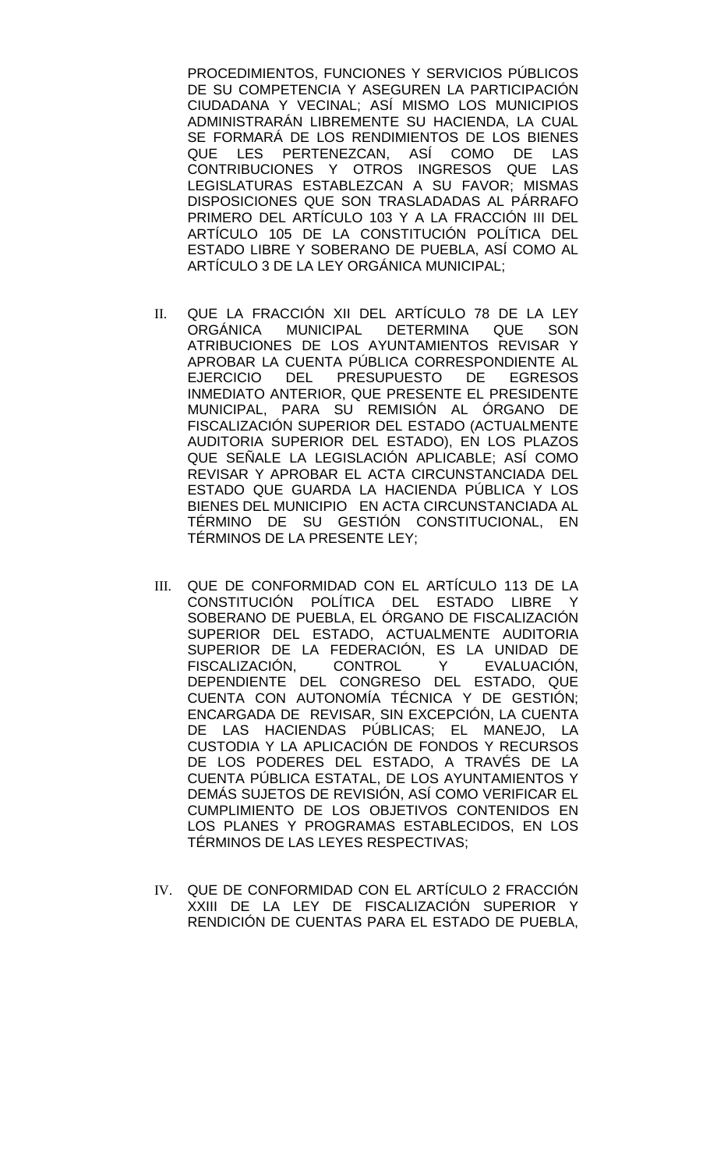PROCEDIMIENTOS, FUNCIONES Y SERVICIOS PÚBLICOS DE SU COMPETENCIA Y ASEGUREN LA PARTICIPACIÓN CIUDADANA Y VECINAL; ASÍ MISMO LOS MUNICIPIOS ADMINISTRARÁN LIBREMENTE SU HACIENDA, LA CUAL SE FORMARÁ DE LOS RENDIMIENTOS DE LOS BIENES QUE LES PERTENEZCAN, ASÍ COMO DE LAS CONTRIBUCIONES Y OTROS INGRESOS QUE LAS LEGISLATURAS ESTABLEZCAN A SU FAVOR; MISMAS DISPOSICIONES QUE SON TRASLADADAS AL PÁRRAFO PRIMERO DEL ARTÍCULO 103 Y A LA FRACCIÓN III DEL ARTÍCULO 105 DE LA CONSTITUCIÓN POLÍTICA DEL ESTADO LIBRE Y SOBERANO DE PUEBLA, ASÍ COMO AL ARTÍCULO 3 DE LA LEY ORGÁNICA MUNICIPAL;

- II. QUE LA FRACCIÓN XII DEL ARTÍCULO 78 DE LA LEY ORGÁNICA MUNICIPAL DETERMINA QUE SON ATRIBUCIONES DE LOS AYUNTAMIENTOS REVISAR Y APROBAR LA CUENTA PÚBLICA CORRESPONDIENTE AL EJERCICIO DEL PRESUPUESTO DE EGRESOS INMEDIATO ANTERIOR, QUE PRESENTE EL PRESIDENTE MUNICIPAL, PARA SU REMISIÓN AL ÓRGANO DE FISCALIZACIÓN SUPERIOR DEL ESTADO (ACTUALMENTE AUDITORIA SUPERIOR DEL ESTADO), EN LOS PLAZOS QUE SEÑALE LA LEGISLACIÓN APLICABLE; ASÍ COMO REVISAR Y APROBAR EL ACTA CIRCUNSTANCIADA DEL ESTADO QUE GUARDA LA HACIENDA PÚBLICA Y LOS BIENES DEL MUNICIPIO EN ACTA CIRCUNSTANCIADA AL TÉRMINO DE SU GESTIÓN CONSTITUCIONAL, EN TÉRMINOS DE LA PRESENTE LEY;
- III. QUE DE CONFORMIDAD CON EL ARTÍCULO 113 DE LA CONSTITUCIÓN POLÍTICA DEL ESTADO LIBRE Y SOBERANO DE PUEBLA, EL ÓRGANO DE FISCALIZACIÓN SUPERIOR DEL ESTADO, ACTUALMENTE AUDITORIA SUPERIOR DE LA FEDERACIÓN, ES LA UNIDAD DE FISCALIZACIÓN, CONTROL Y EVALUACIÓN, DEPENDIENTE DEL CONGRESO DEL ESTADO, QUE CUENTA CON AUTONOMÍA TÉCNICA Y DE GESTIÓN; ENCARGADA DE REVISAR, SIN EXCEPCIÓN, LA CUENTA DE LAS HACIENDAS PÚBLICAS; EL MANEJO, LA CUSTODIA Y LA APLICACIÓN DE FONDOS Y RECURSOS DE LOS PODERES DEL ESTADO, A TRAVÉS DE LA CUENTA PÚBLICA ESTATAL, DE LOS AYUNTAMIENTOS Y DEMÁS SUJETOS DE REVISIÓN, ASÍ COMO VERIFICAR EL CUMPLIMIENTO DE LOS OBJETIVOS CONTENIDOS EN LOS PLANES Y PROGRAMAS ESTABLECIDOS, EN LOS TÉRMINOS DE LAS LEYES RESPECTIVAS;
- IV. QUE DE CONFORMIDAD CON EL ARTÍCULO 2 FRACCIÓN XXIII DE LA LEY DE FISCALIZACIÓN SUPERIOR Y RENDICIÓN DE CUENTAS PARA EL ESTADO DE PUEBLA,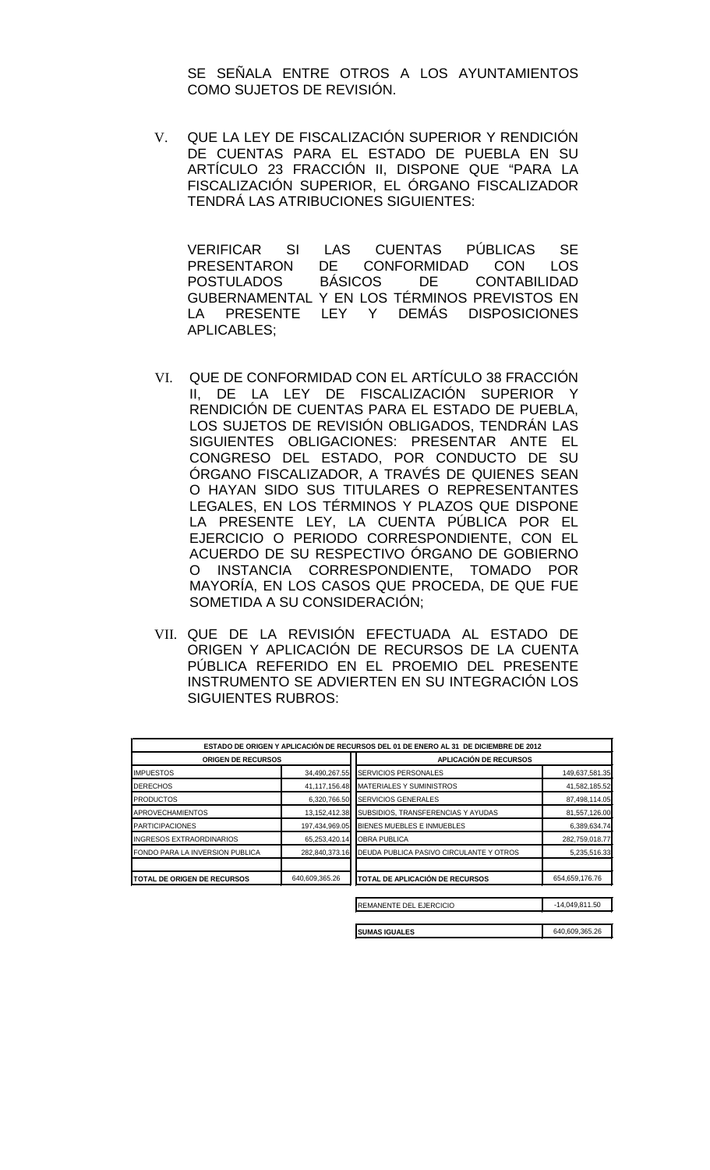SE SEÑALA ENTRE OTROS A LOS AYUNTAMIENTOS COMO SUJETOS DE REVISIÓN.

V. QUE LA LEY DE FISCALIZACIÓN SUPERIOR Y RENDICIÓN DE CUENTAS PARA EL ESTADO DE PUEBLA EN SU ARTÍCULO 23 FRACCIÓN II, DISPONE QUE "PARA LA FISCALIZACIÓN SUPERIOR, EL ÓRGANO FISCALIZADOR TENDRÁ LAS ATRIBUCIONES SIGUIENTES:

VERIFICAR SI LAS CUENTAS PÚBLICAS SE PRESENTARON DE CONFORMIDAD CON LOS<br>POSTULADOS BÁSICOS DE CONTABILIDAD POSTULADOS BÁSICOS DE CONTABILIDAD GUBERNAMENTAL Y EN LOS TÉRMINOS PREVISTOS EN LA PRESENTE LEY Y DEMÁS DISPOSICIONES APLICABLES;

- VI. QUE DE CONFORMIDAD CON EL ARTÍCULO 38 FRACCIÓN II, DE LA LEY DE FISCALIZACIÓN SUPERIOR Y RENDICIÓN DE CUENTAS PARA EL ESTADO DE PUEBLA, LOS SUJETOS DE REVISIÓN OBLIGADOS, TENDRÁN LAS SIGUIENTES OBLIGACIONES: PRESENTAR ANTE EL CONGRESO DEL ESTADO, POR CONDUCTO DE SU ÓRGANO FISCALIZADOR, A TRAVÉS DE QUIENES SEAN O HAYAN SIDO SUS TITULARES O REPRESENTANTES LEGALES, EN LOS TÉRMINOS Y PLAZOS QUE DISPONE LA PRESENTE LEY, LA CUENTA PÚBLICA POR EL EJERCICIO O PERIODO CORRESPONDIENTE, CON EL ACUERDO DE SU RESPECTIVO ÓRGANO DE GOBIERNO O INSTANCIA CORRESPONDIENTE, TOMADO POR MAYORÍA, EN LOS CASOS QUE PROCEDA, DE QUE FUE SOMETIDA A SU CONSIDERACIÓN;
- VII. QUE DE LA REVISIÓN EFECTUADA AL ESTADO DE ORIGEN Y APLICACIÓN DE RECURSOS DE LA CUENTA PÚBLICA REFERIDO EN EL PROEMIO DEL PRESENTE INSTRUMENTO SE ADVIERTEN EN SU INTEGRACIÓN LOS SIGUIENTES RUBROS:

| ESTADO DE ORIGEN Y APLICACIÓN DE RECURSOS DEL 01 DE ENERO AL 31 DE DICIEMBRE DE 2012 |                  |                                         |                  |  |  |  |
|--------------------------------------------------------------------------------------|------------------|-----------------------------------------|------------------|--|--|--|
| <b>ORIGEN DE RECURSOS</b>                                                            |                  | <b>APLICACIÓN DE RECURSOS</b>           |                  |  |  |  |
| <b>IMPUESTOS</b>                                                                     | 34,490,267.55    | SERVICIOS PERSONALES                    | 149,637,581.35   |  |  |  |
| <b>DERECHOS</b>                                                                      | 41,117,156.48    | MATERIALES Y SUMINISTROS                | 41,582,185.52    |  |  |  |
| <b>PRODUCTOS</b>                                                                     | 6,320,766.50     | <b>SERVICIOS GENERALES</b>              | 87,498,114.05    |  |  |  |
| <b>APROVECHAMIENTOS</b>                                                              | 13, 152, 412. 38 | SUBSIDIOS, TRANSFERENCIAS Y AYUDAS      | 81,557,126.00    |  |  |  |
| <b>PARTICIPACIONES</b>                                                               | 197,434,969.05   | BIENES MUEBLES E INMUEBLES              | 6,389,634.74     |  |  |  |
| <b>INGRESOS EXTRAORDINARIOS</b>                                                      | 65,253,420.14    | <b>OBRA PUBLICA</b>                     | 282,759,018.77   |  |  |  |
| FONDO PARA LA INVERSION PUBLICA                                                      | 282,840,373.16   | DEUDA PUBLICA PASIVO CIRCULANTE Y OTROS | 5,235,516.33     |  |  |  |
| TOTAL DE ORIGEN DE RECURSOS                                                          | 640,609,365.26   | <b>TOTAL DE APLICACIÓN DE RECURSOS</b>  | 654,659,176.76   |  |  |  |
|                                                                                      |                  | <b>REMANENTE DEL EJERCICIO</b>          | $-14,049,811.50$ |  |  |  |

**SUMAS IGUALES** 640,609,365.26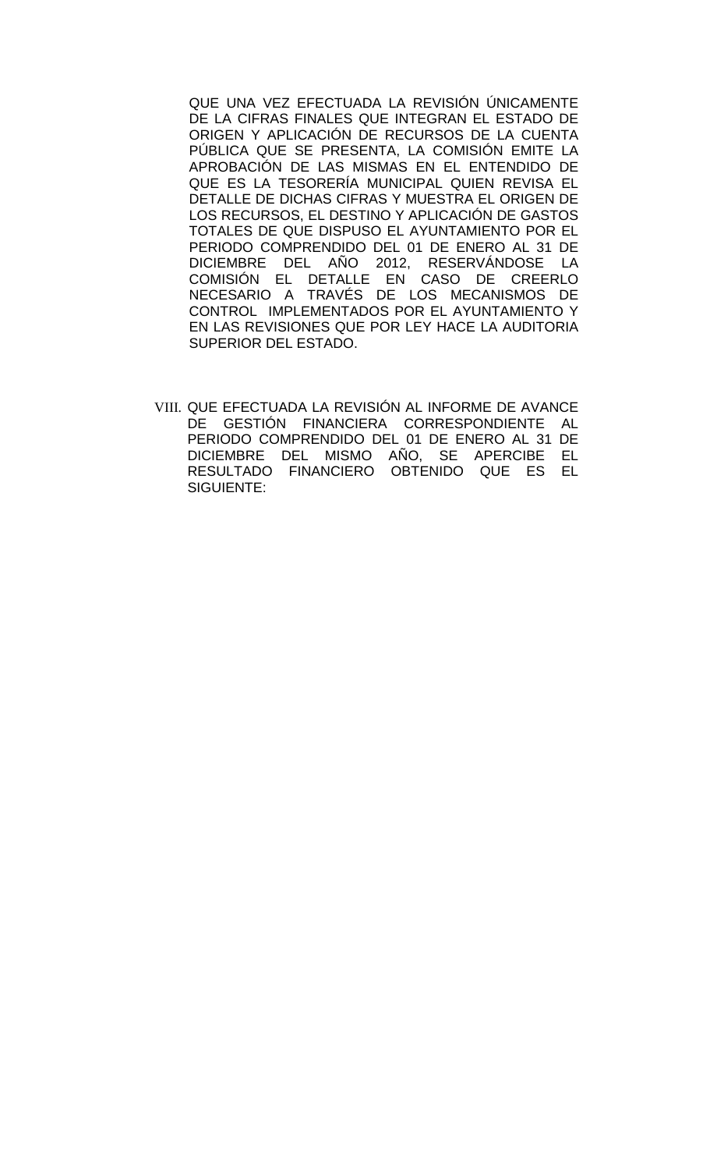QUE UNA VEZ EFECTUADA LA REVISIÓN ÚNICAMENTE DE LA CIFRAS FINALES QUE INTEGRAN EL ESTADO DE ORIGEN Y APLICACIÓN DE RECURSOS DE LA CUENTA PÚBLICA QUE SE PRESENTA, LA COMISIÓN EMITE LA APROBACIÓN DE LAS MISMAS EN EL ENTENDIDO DE QUE ES LA TESORERÍA MUNICIPAL QUIEN REVISA EL DETALLE DE DICHAS CIFRAS Y MUESTRA EL ORIGEN DE LOS RECURSOS, EL DESTINO Y APLICACIÓN DE GASTOS TOTALES DE QUE DISPUSO EL AYUNTAMIENTO POR EL PERIODO COMPRENDIDO DEL 01 DE ENERO AL 31 DE DICIEMBRE DEL AÑO 2012, RESERVÁNDOSE LA COMISIÓN EL DETALLE EN CASO DE CREERLO NECESARIO A TRAVÉS DE LOS MECANISMOS DE CONTROL IMPLEMENTADOS POR EL AYUNTAMIENTO Y EN LAS REVISIONES QUE POR LEY HACE LA AUDITORIA SUPERIOR DEL ESTADO.

VIII. QUE EFECTUADA LA REVISIÓN AL INFORME DE AVANCE DE GESTIÓN FINANCIERA CORRESPONDIENTE AL PERIODO COMPRENDIDO DEL 01 DE ENERO AL 31 DE DICIEMBRE DEL MISMO AÑO, SE APERCIBE EL RESULTADO FINANCIERO OBTENIDO QUE ES EL SIGUIENTE: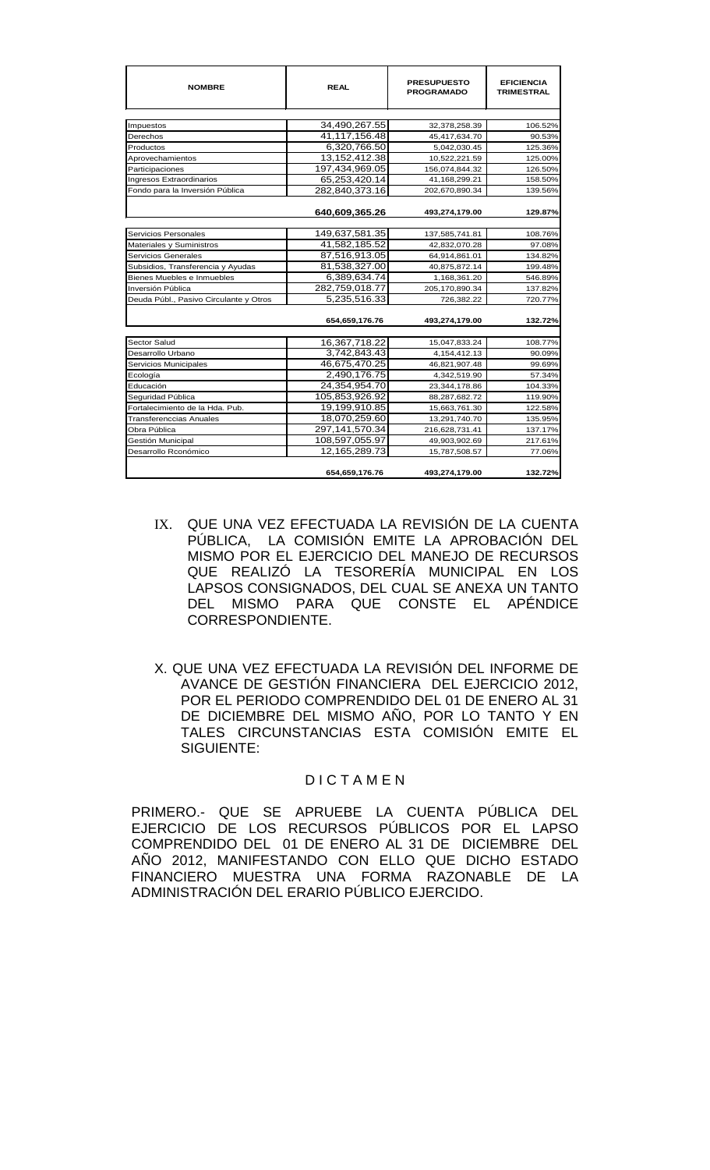| <b>NOMBRE</b>                          | <b>REAL</b>    | <b>PRESUPUESTO</b><br><b>PROGRAMADO</b> | <b>EFICIENCIA</b><br><b>TRIMESTRAL</b> |
|----------------------------------------|----------------|-----------------------------------------|----------------------------------------|
|                                        |                |                                         |                                        |
| Impuestos                              | 34,490,267.55  | 32,378,258.39                           | 106.52%                                |
| Derechos                               | 41,117,156.48  | 45,417,634.70                           | 90.53%                                 |
| Productos                              | 6,320,766.50   | 5,042,030.45                            | 125.36%                                |
| Aprovechamientos                       | 13,152,412.38  | 10,522,221.59                           | 125.00%                                |
| Participaciones                        | 197,434,969.05 | 156,074,844.32                          | 126.50%                                |
| Ingresos Extraordinarios               | 65,253,420.14  | 41,168,299.21                           | 158.50%                                |
| Fondo para la Inversión Pública        | 282,840,373.16 | 202,670,890.34                          | 139.56%                                |
|                                        | 640,609,365.26 | 493,274,179.00                          | 129.87%                                |
| Servicios Personales                   | 149,637,581.35 | 137,585,741.81                          | 108.76%                                |
| Materiales y Suministros               | 41,582,185.52  | 42,832,070.28                           | 97.08%                                 |
| Servicios Generales                    | 87,516,913.05  | 64,914,861.01                           | 134.82%                                |
| Subsidios, Transferencia y Ayudas      | 81,538,327.00  | 40,875,872.14                           | 199.48%                                |
| Bienes Muebles e Inmuebles             | 6,389,634.74   | 1,168,361.20                            | 546.89%                                |
| Inversión Pública                      | 282,759,018.77 | 205,170,890.34                          | 137.82%                                |
| Deuda Públ., Pasivo Circulante y Otros | 5,235,516.33   | 726.382.22                              | 720.77%                                |
|                                        |                |                                         |                                        |
|                                        | 654,659,176.76 | 493,274,179.00                          | 132.72%                                |
|                                        |                |                                         |                                        |
| Sector Salud                           | 16,367,718.22  | 15,047,833.24                           | 108.77%                                |
| Desarrollo Urbano                      | 3,742,843.43   | 4,154,412.13                            | 90.09%                                 |
| Servicios Municipales                  | 46,675,470.25  | 46,821,907.48                           | 99.69%                                 |
| Ecología                               | 2,490,176.75   | 4,342,519.90                            | 57.34%                                 |
| Educación                              | 24,354,954.70  | 23,344,178.86                           | 104.33%                                |
| Seguridad Pública                      | 105,853,926.92 | 88,287,682.72                           | 119.90%                                |
| Fortalecimiento de la Hda. Pub.        | 19,199,910.85  | 15,663,761.30                           | 122.58%                                |
| <b>Transferenccias Anuales</b>         | 18,070,259.60  | 13,291,740.70                           | 135.95%                                |
| Obra Pública                           | 297,141,570.34 | 216,628,731.41                          | 137.17%                                |
| Gestión Municipal                      | 108,597,055.97 | 49,903,902.69                           | 217.61%                                |
| Desarrollo Rconómico                   | 12.165.289.73  | 15,787,508.57                           | 77.06%                                 |
|                                        | 654,659,176.76 | 493,274,179.00                          | 132.72%                                |

- IX. QUE UNA VEZ EFECTUADA LA REVISIÓN DE LA CUENTA PÚBLICA, LA COMISIÓN EMITE LA APROBACIÓN DEL MISMO POR EL EJERCICIO DEL MANEJO DE RECURSOS QUE REALIZÓ LA TESORERÍA MUNICIPAL EN LOS LAPSOS CONSIGNADOS, DEL CUAL SE ANEXA UN TANTO DEL MISMO PARA QUE CONSTE EL APÉNDICE CORRESPONDIENTE.
- X. QUE UNA VEZ EFECTUADA LA REVISIÓN DEL INFORME DE AVANCE DE GESTIÓN FINANCIERA DEL EJERCICIO 2012, POR EL PERIODO COMPRENDIDO DEL 01 DE ENERO AL 31 DE DICIEMBRE DEL MISMO AÑO, POR LO TANTO Y EN TALES CIRCUNSTANCIAS ESTA COMISIÓN EMITE EL SIGUIENTE:

# D I C T A M E N

PRIMERO.- QUE SE APRUEBE LA CUENTA PÚBLICA DEL EJERCICIO DE LOS RECURSOS PÚBLICOS POR EL LAPSO COMPRENDIDO DEL 01 DE ENERO AL 31 DE DICIEMBRE DEL AÑO 2012, MANIFESTANDO CON ELLO QUE DICHO ESTADO FINANCIERO MUESTRA UNA FORMA RAZONABLE DE LA ADMINISTRACIÓN DEL ERARIO PÚBLICO EJERCIDO.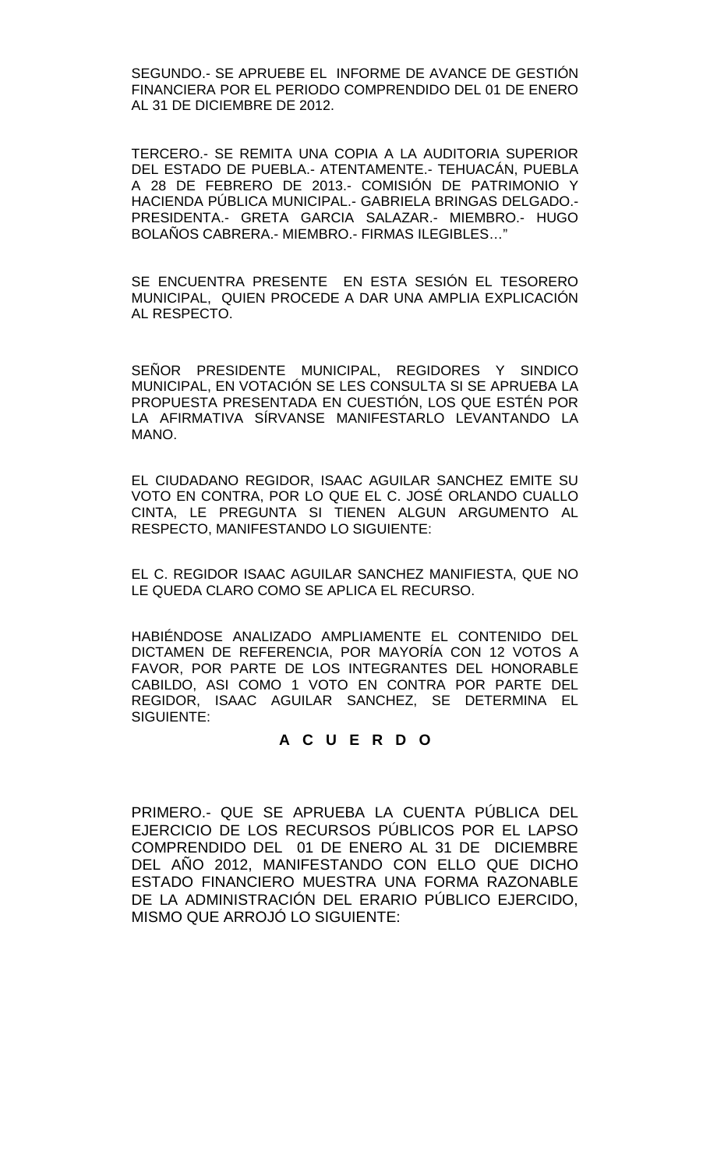SEGUNDO.- SE APRUEBE EL INFORME DE AVANCE DE GESTIÓN FINANCIERA POR EL PERIODO COMPRENDIDO DEL 01 DE ENERO AL 31 DE DICIEMBRE DE 2012.

TERCERO.- SE REMITA UNA COPIA A LA AUDITORIA SUPERIOR DEL ESTADO DE PUEBLA.- ATENTAMENTE.- TEHUACÁN, PUEBLA A 28 DE FEBRERO DE 2013.- COMISIÓN DE PATRIMONIO Y HACIENDA PÚBLICA MUNICIPAL.- GABRIELA BRINGAS DELGADO.- PRESIDENTA.- GRETA GARCIA SALAZAR.- MIEMBRO.- HUGO BOLAÑOS CABRERA.- MIEMBRO.- FIRMAS ILEGIBLES…"

SE ENCUENTRA PRESENTE EN ESTA SESIÓN EL TESORERO MUNICIPAL, QUIEN PROCEDE A DAR UNA AMPLIA EXPLICACIÓN AL RESPECTO.

SEÑOR PRESIDENTE MUNICIPAL, REGIDORES Y SINDICO MUNICIPAL, EN VOTACIÓN SE LES CONSULTA SI SE APRUEBA LA PROPUESTA PRESENTADA EN CUESTIÓN, LOS QUE ESTÉN POR LA AFIRMATIVA SÍRVANSE MANIFESTARLO LEVANTANDO LA MANO.

EL CIUDADANO REGIDOR, ISAAC AGUILAR SANCHEZ EMITE SU VOTO EN CONTRA, POR LO QUE EL C. JOSÉ ORLANDO CUALLO CINTA, LE PREGUNTA SI TIENEN ALGUN ARGUMENTO AL RESPECTO, MANIFESTANDO LO SIGUIENTE:

EL C. REGIDOR ISAAC AGUILAR SANCHEZ MANIFIESTA, QUE NO LE QUEDA CLARO COMO SE APLICA EL RECURSO.

HABIÉNDOSE ANALIZADO AMPLIAMENTE EL CONTENIDO DEL DICTAMEN DE REFERENCIA, POR MAYORÍA CON 12 VOTOS A FAVOR, POR PARTE DE LOS INTEGRANTES DEL HONORABLE CABILDO, ASI COMO 1 VOTO EN CONTRA POR PARTE DEL REGIDOR, ISAAC AGUILAR SANCHEZ, SE DETERMINA EL SIGUIENTE:

# **A C U E R D O**

PRIMERO.- QUE SE APRUEBA LA CUENTA PÚBLICA DEL EJERCICIO DE LOS RECURSOS PÚBLICOS POR EL LAPSO COMPRENDIDO DEL 01 DE ENERO AL 31 DE DICIEMBRE DEL AÑO 2012, MANIFESTANDO CON ELLO QUE DICHO ESTADO FINANCIERO MUESTRA UNA FORMA RAZONABLE DE LA ADMINISTRACIÓN DEL ERARIO PÚBLICO EJERCIDO, MISMO QUE ARROJÓ LO SIGUIENTE: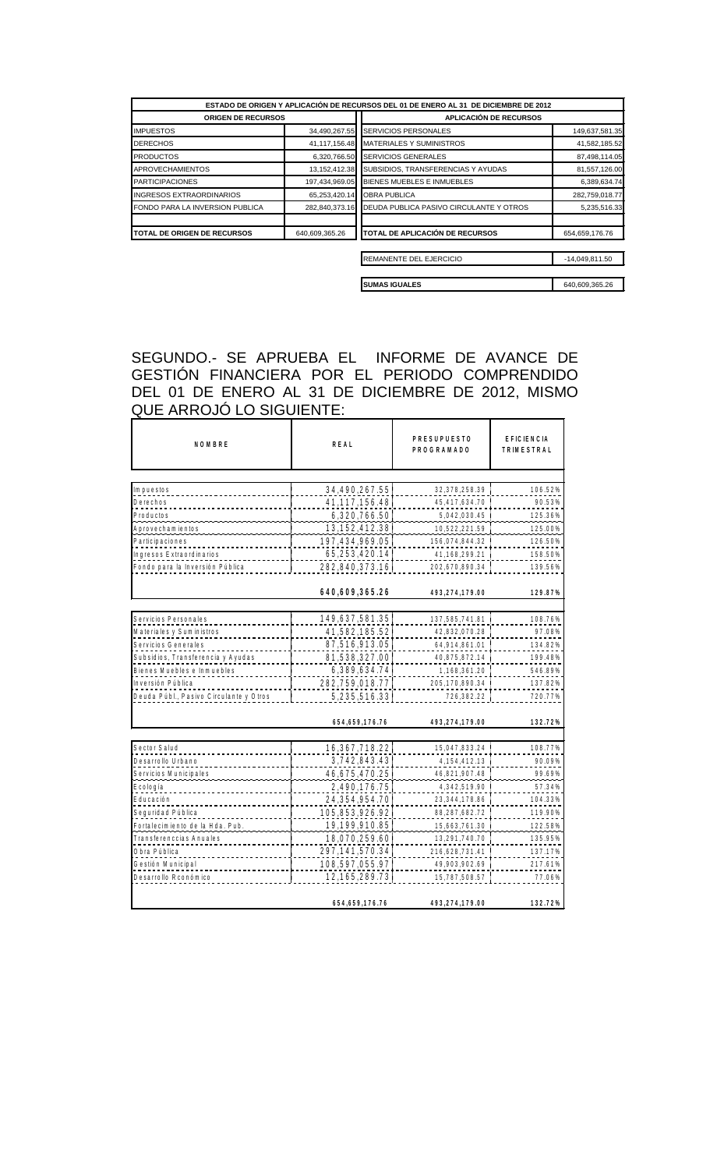| ESTADO DE ORIGEN Y APLICACIÓN DE RECURSOS DEL 01 DE ENERO AL 31 DE DICIEMBRE DE 2012 |                  |                                         |                  |  |  |
|--------------------------------------------------------------------------------------|------------------|-----------------------------------------|------------------|--|--|
| <b>ORIGEN DE RECURSOS</b>                                                            |                  | APLICACIÓN DE RECURSOS                  |                  |  |  |
| <b>IMPUESTOS</b>                                                                     | 34,490,267.55    | <b>SERVICIOS PERSONALES</b>             | 149,637,581.35   |  |  |
| <b>DERECHOS</b>                                                                      | 41, 117, 156. 48 | <b>IMATERIALES Y SUMINISTROS</b>        | 41,582,185.52    |  |  |
| <b>PRODUCTOS</b>                                                                     | 6,320,766.50     | <b>SERVICIOS GENERALES</b>              | 87,498,114.05    |  |  |
| <b>APROVECHAMIENTOS</b>                                                              | 13,152,412.38    | SUBSIDIOS, TRANSFERENCIAS Y AYUDAS      | 81,557,126.00    |  |  |
| <b>PARTICIPACIONES</b>                                                               | 197,434,969.05   | <b>BIENES MUEBLES E INMUEBLES</b>       | 6,389,634.74     |  |  |
| <b>INGRESOS EXTRAORDINARIOS</b>                                                      | 65,253,420.14    | <b>OBRA PUBLICA</b>                     | 282,759,018.77   |  |  |
| FONDO PARA LA INVERSION PUBLICA                                                      | 282,840,373.16   | DEUDA PUBLICA PASIVO CIRCULANTE Y OTROS | 5,235,516.33     |  |  |
| <b>ITOTAL DE ORIGEN DE RECURSOS</b>                                                  | 640,609,365.26   | TOTAL DE APLICACIÓN DE RECURSOS         | 654,659,176.76   |  |  |
|                                                                                      |                  |                                         |                  |  |  |
|                                                                                      |                  | <b>REMANENTE DEL EJERCICIO</b>          | $-14,049,811.50$ |  |  |

**SUMAS IGUALES** 640,609,365.26

SEGUNDO.- SE APRUEBA EL INFORME DE AVANCE DE GESTIÓN FINANCIERA POR EL PERIODO COMPRENDIDO DEL 01 DE ENERO AL 31 DE DICIEMBRE DE 2012, MISMO QUE ARROJÓ LO SIGUIENTE:

| NOMBRE                                 | REAL              | <b>PRESUPUESTO</b><br><b>PROGRAMADO</b> | <b>EFICIENCIA</b><br><b>TRIMESTRAL</b> |
|----------------------------------------|-------------------|-----------------------------------------|----------------------------------------|
|                                        |                   |                                         |                                        |
| lm puestos                             | 34,490,267.55     | 32, 378, 258. 39                        | 106.52%                                |
| Derechos                               | 41, 117, 156. 48  | 45,417,634.70                           | 90.53%                                 |
| Productos                              | 6, 320, 766.50    | 5,042,030.45                            | 125.36%                                |
| A p ro v e c h a m i e n to s          | 13.152.412.38     | 10,522,221.59                           | 125.00%                                |
| Participaciones                        | 197,434,969.05    | 156,074,844.32                          | 126.50%                                |
| Ingresos Extraordinarios               | 65.253.420.14     | 41,168,299.21                           | 158.50%                                |
| Fondo para la Inversión Pública        | 282,840,373.16    | 202,670,890.34                          | 139.56%                                |
|                                        | 640,609,365.26    | 493,274,179.00                          | 129.87%                                |
|                                        |                   |                                         |                                        |
| Servicios Personales                   | 149.637.581.35    | 137,585,741.81                          | 108.76%                                |
| Materiales y Sum in istros             | 41,582,185.52     | 42,832,070.28                           | 97.08%                                 |
| Servicios Generales                    | 87,516,913.05     | 64,914,861.01                           | 134.82%                                |
| Subsidios, Transferencia y Ayudas      | 81,538,327.00     | 40,875,872.14                           | 199.48%                                |
| Bienes Muebles e Inmuebles             | 6,389,634.74      | 1, 168, 361. 20                         | 546.89%                                |
| Inversión Pública                      | 282,759,018.77    | 205, 170, 890. 34                       | 137.82%                                |
| Deuda Públ., Pasivo Circulante y Otros | 5, 235, 516. 33   | 726,382.22                              | 720.77%                                |
|                                        | 654,659,176.76    | 493,274,179.00                          | 132.72%                                |
| Sector Salud                           | 16, 367, 718.22   | 15, 047, 833. 24                        |                                        |
| Desarrollo Urbano                      | 3,742,843.43      | 4, 154, 412. 13                         | 108.77%<br>90.09%                      |
| Servicios Municipales                  | 46,675,470.25     |                                         | 99.69%                                 |
|                                        |                   | 46,821,907.48                           |                                        |
| Ecología                               | 2,490,176.75      | 4, 342, 519. 90                         | 57.34%                                 |
| Educación                              | 24, 354, 954. 70  | 23, 344, 178.86                         | 104.33%                                |
| Seguridad Pública                      | 105,853,926.92    | 88, 287, 682. 72                        | 119.90%                                |
| Fortalecimiento de la Hda. Pub.        | 19,199,910.85     | 15,663,761.30                           | 122.58%                                |
| Transferenccias Anuales                | 18,070,259.60     | 13, 291, 740. 70                        | 135.95%                                |
| Obra Pública                           | 297, 141, 570. 34 | 216,628,731.41                          | 137.17%                                |
| Gestión Municipal                      | 108,597,055.97    | 49,903,902.69                           | 217.61%                                |
| Desarrollo R conómico                  | 12, 165, 289. 73  | 15,787,508.57                           | 77.06%                                 |
|                                        | 654,659,176.76    | 493,274,179.00                          | 132.72%                                |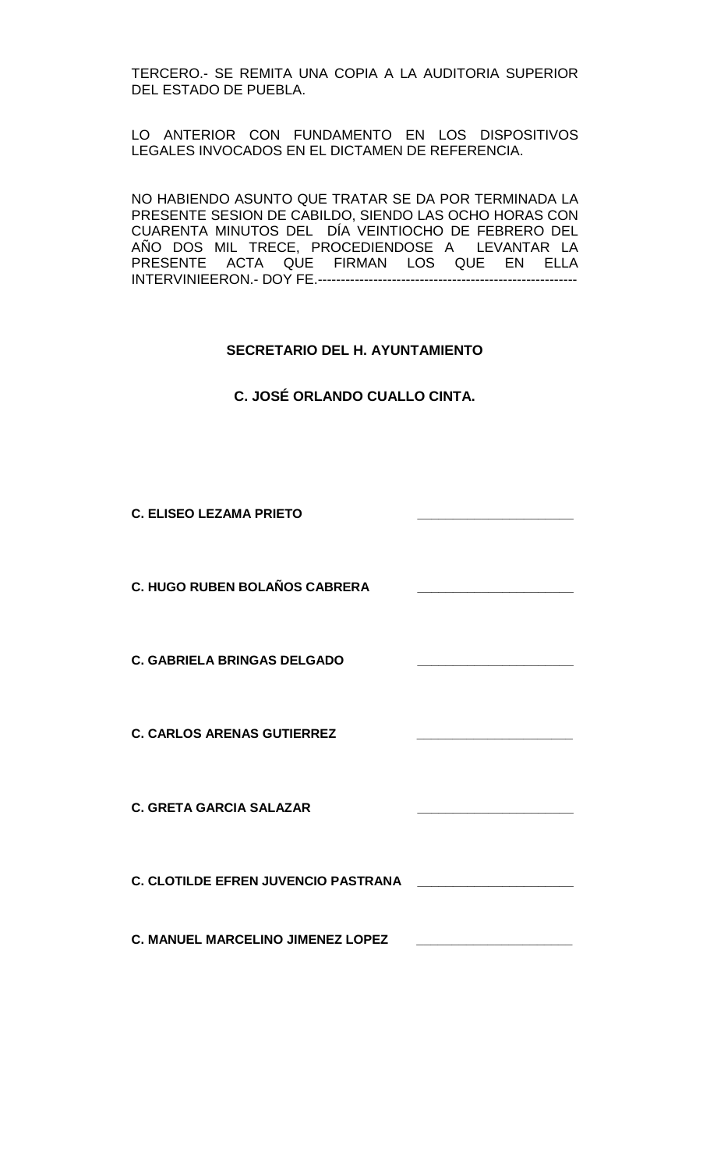TERCERO.- SE REMITA UNA COPIA A LA AUDITORIA SUPERIOR DEL ESTADO DE PUEBLA.

LO ANTERIOR CON FUNDAMENTO EN LOS DISPOSITIVOS LEGALES INVOCADOS EN EL DICTAMEN DE REFERENCIA.

NO HABIENDO ASUNTO QUE TRATAR SE DA POR TERMINADA LA PRESENTE SESION DE CABILDO, SIENDO LAS OCHO HORAS CON CUARENTA MINUTOS DEL DÍA VEINTIOCHO DE FEBRERO DEL AÑO DOS MIL TRECE, PROCEDIENDOSE A LEVANTAR LA PRESENTE ACTA QUE FIRMAN LOS QUE EN ELLA INTERVINIEERON.- DOY FE.--------------------------------------------------------

# **SECRETARIO DEL H. AYUNTAMIENTO**

**C. JOSÉ ORLANDO CUALLO CINTA.**

**C. ELISEO LEZAMA PRIETO \_\_\_\_\_\_\_\_\_\_\_\_\_\_\_\_\_\_\_\_\_\_**

**C. HUGO RUBEN BOLAÑOS CABRERA \_\_\_\_\_\_\_\_\_\_\_\_\_\_\_\_\_\_\_\_\_\_**

**C. GABRIELA BRINGAS DELGADO \_\_\_\_\_\_\_\_\_\_\_\_\_\_\_\_\_\_\_\_\_\_**

**C. CARLOS ARENAS GUTIERREZ \_\_\_\_\_\_\_\_\_\_\_\_\_\_\_\_\_\_\_\_\_\_**

**C. GRETA GARCIA SALAZAR \_\_\_\_\_\_\_\_\_\_\_\_\_\_\_\_\_\_\_\_\_\_**

**C. CLOTILDE EFREN JUVENCIO PASTRANA \_\_\_\_\_\_\_\_\_\_\_\_\_\_\_\_\_\_\_\_\_\_**

**C. MANUEL MARCELINO JIMENEZ LOPEZ \_\_\_\_\_\_\_\_\_\_\_\_\_\_\_\_\_\_\_\_\_\_**